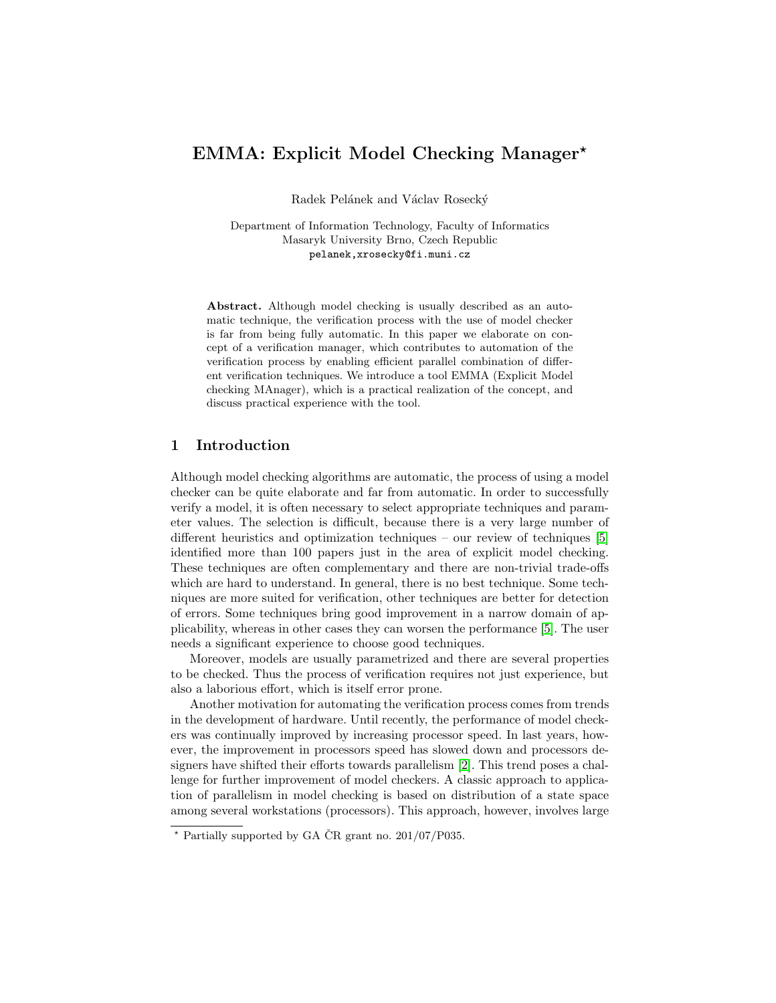# EMMA: Explicit Model Checking Manager<sup>\*</sup>

Radek Pelánek and Václav Rosecký

Department of Information Technology, Faculty of Informatics Masaryk University Brno, Czech Republic pelanek,xrosecky@fi.muni.cz

Abstract. Although model checking is usually described as an automatic technique, the verification process with the use of model checker is far from being fully automatic. In this paper we elaborate on concept of a verification manager, which contributes to automation of the verification process by enabling efficient parallel combination of different verification techniques. We introduce a tool EMMA (Explicit Model checking MAnager), which is a practical realization of the concept, and discuss practical experience with the tool.

## 1 Introduction

Although model checking algorithms are automatic, the process of using a model checker can be quite elaborate and far from automatic. In order to successfully verify a model, it is often necessary to select appropriate techniques and parameter values. The selection is difficult, because there is a very large number of different heuristics and optimization techniques – our review of techniques [\[5\]](#page-4-0) identified more than 100 papers just in the area of explicit model checking. These techniques are often complementary and there are non-trivial trade-offs which are hard to understand. In general, there is no best technique. Some techniques are more suited for verification, other techniques are better for detection of errors. Some techniques bring good improvement in a narrow domain of applicability, whereas in other cases they can worsen the performance [\[5\]](#page-4-0). The user needs a significant experience to choose good techniques.

Moreover, models are usually parametrized and there are several properties to be checked. Thus the process of verification requires not just experience, but also a laborious effort, which is itself error prone.

Another motivation for automating the verification process comes from trends in the development of hardware. Until recently, the performance of model checkers was continually improved by increasing processor speed. In last years, however, the improvement in processors speed has slowed down and processors designers have shifted their efforts towards parallelism [\[2\]](#page-4-1). This trend poses a challenge for further improvement of model checkers. A classic approach to application of parallelism in model checking is based on distribution of a state space among several workstations (processors). This approach, however, involves large

 $*$  Partially supported by GA ČR grant no. 201/07/P035.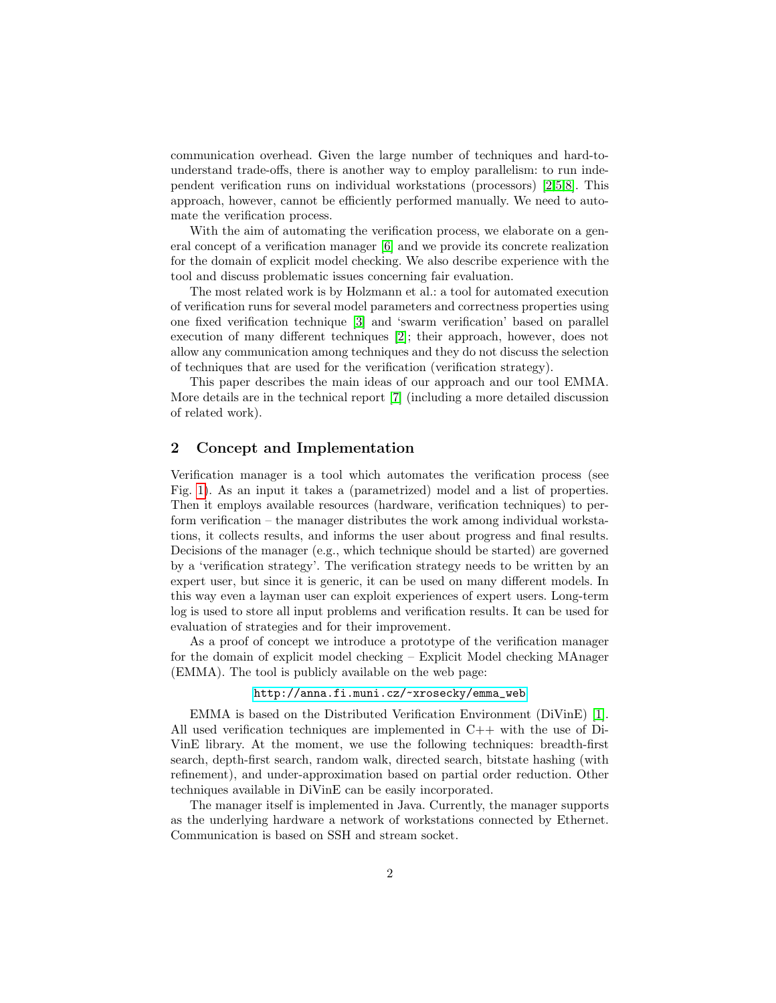communication overhead. Given the large number of techniques and hard-tounderstand trade-offs, there is another way to employ parallelism: to run independent verification runs on individual workstations (processors) [\[2,](#page-4-1)[5,](#page-4-0)[8\]](#page-4-2). This approach, however, cannot be efficiently performed manually. We need to automate the verification process.

With the aim of automating the verification process, we elaborate on a general concept of a verification manager [\[6\]](#page-4-3) and we provide its concrete realization for the domain of explicit model checking. We also describe experience with the tool and discuss problematic issues concerning fair evaluation.

The most related work is by Holzmann et al.: a tool for automated execution of verification runs for several model parameters and correctness properties using one fixed verification technique [\[3\]](#page-4-4) and 'swarm verification' based on parallel execution of many different techniques [\[2\]](#page-4-1); their approach, however, does not allow any communication among techniques and they do not discuss the selection of techniques that are used for the verification (verification strategy).

This paper describes the main ideas of our approach and our tool EMMA. More details are in the technical report [\[7\]](#page-4-5) (including a more detailed discussion of related work).

## 2 Concept and Implementation

Verification manager is a tool which automates the verification process (see Fig. [1\)](#page-2-0). As an input it takes a (parametrized) model and a list of properties. Then it employs available resources (hardware, verification techniques) to perform verification – the manager distributes the work among individual workstations, it collects results, and informs the user about progress and final results. Decisions of the manager (e.g., which technique should be started) are governed by a 'verification strategy'. The verification strategy needs to be written by an expert user, but since it is generic, it can be used on many different models. In this way even a layman user can exploit experiences of expert users. Long-term log is used to store all input problems and verification results. It can be used for evaluation of strategies and for their improvement.

As a proof of concept we introduce a prototype of the verification manager for the domain of explicit model checking – Explicit Model checking MAnager (EMMA). The tool is publicly available on the web page:

#### [http://anna.fi.muni.cz/~xrosecky/emma\\_web](http://anna.fi.muni.cz/~xrosecky/emma_web)

EMMA is based on the Distributed Verification Environment (DiVinE) [\[1\]](#page-4-6). All used verification techniques are implemented in C++ with the use of Di-VinE library. At the moment, we use the following techniques: breadth-first search, depth-first search, random walk, directed search, bitstate hashing (with refinement), and under-approximation based on partial order reduction. Other techniques available in DiVinE can be easily incorporated.

The manager itself is implemented in Java. Currently, the manager supports as the underlying hardware a network of workstations connected by Ethernet. Communication is based on SSH and stream socket.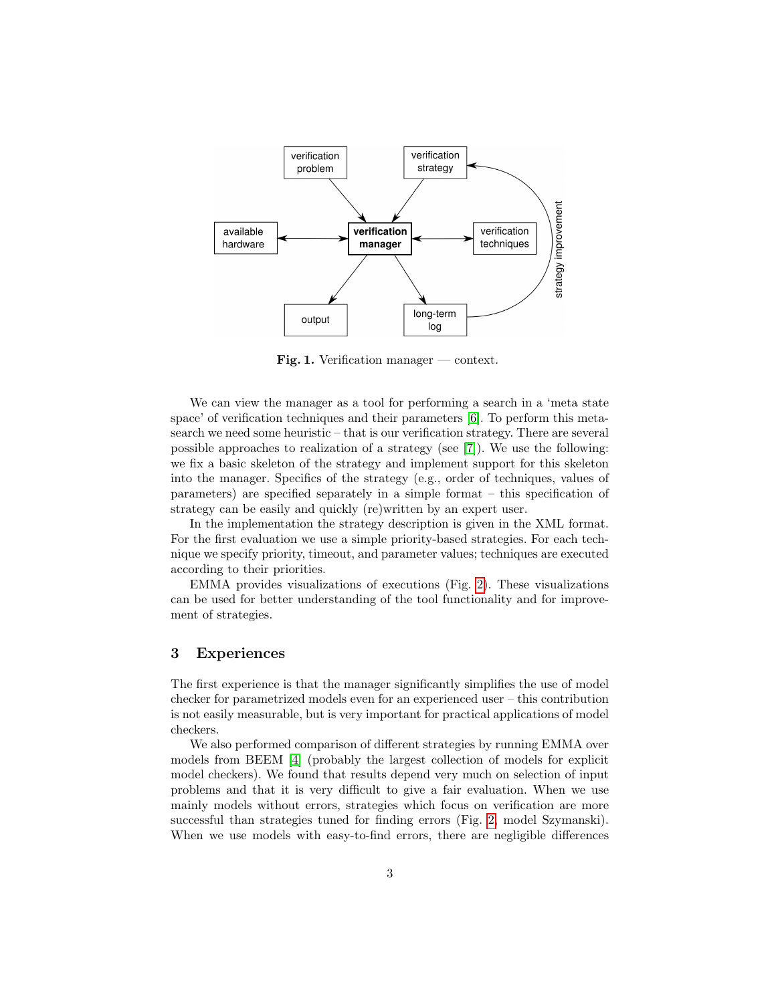

<span id="page-2-0"></span>Fig. 1. Verification manager — context.

We can view the manager as a tool for performing a search in a 'meta state space' of verification techniques and their parameters [\[6\]](#page-4-3). To perform this metasearch we need some heuristic – that is our verification strategy. There are several possible approaches to realization of a strategy (see [\[7\]](#page-4-5)). We use the following: we fix a basic skeleton of the strategy and implement support for this skeleton into the manager. Specifics of the strategy (e.g., order of techniques, values of parameters) are specified separately in a simple format – this specification of strategy can be easily and quickly (re)written by an expert user.

In the implementation the strategy description is given in the XML format. For the first evaluation we use a simple priority-based strategies. For each technique we specify priority, timeout, and parameter values; techniques are executed according to their priorities.

EMMA provides visualizations of executions (Fig. [2\)](#page-3-0). These visualizations can be used for better understanding of the tool functionality and for improvement of strategies.

### 3 Experiences

The first experience is that the manager significantly simplifies the use of model checker for parametrized models even for an experienced user – this contribution is not easily measurable, but is very important for practical applications of model checkers.

We also performed comparison of different strategies by running EMMA over models from BEEM [\[4\]](#page-4-7) (probably the largest collection of models for explicit model checkers). We found that results depend very much on selection of input problems and that it is very difficult to give a fair evaluation. When we use mainly models without errors, strategies which focus on verification are more successful than strategies tuned for finding errors (Fig. [2,](#page-3-0) model Szymanski). When we use models with easy-to-find errors, there are negligible differences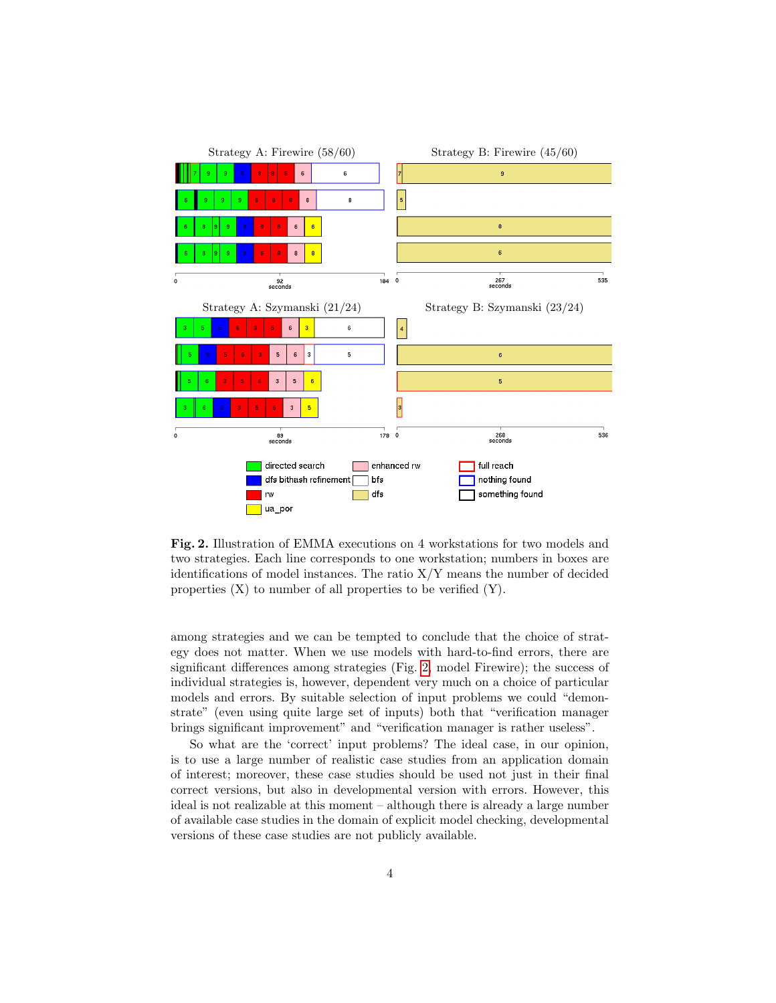

<span id="page-3-0"></span>Fig. 2. Illustration of EMMA executions on 4 workstations for two models and two strategies. Each line corresponds to one workstation; numbers in boxes are identifications of model instances. The ratio  $X/Y$  means the number of decided properties  $(X)$  to number of all properties to be verified  $(Y)$ .

among strategies and we can be tempted to conclude that the choice of strategy does not matter. When we use models with hard-to-find errors, there are significant differences among strategies (Fig. [2,](#page-3-0) model Firewire); the success of individual strategies is, however, dependent very much on a choice of particular models and errors. By suitable selection of input problems we could "demonstrate" (even using quite large set of inputs) both that "verification manager brings significant improvement" and "verification manager is rather useless".

So what are the 'correct' input problems? The ideal case, in our opinion, is to use a large number of realistic case studies from an application domain of interest; moreover, these case studies should be used not just in their final correct versions, but also in developmental version with errors. However, this ideal is not realizable at this moment – although there is already a large number of available case studies in the domain of explicit model checking, developmental versions of these case studies are not publicly available.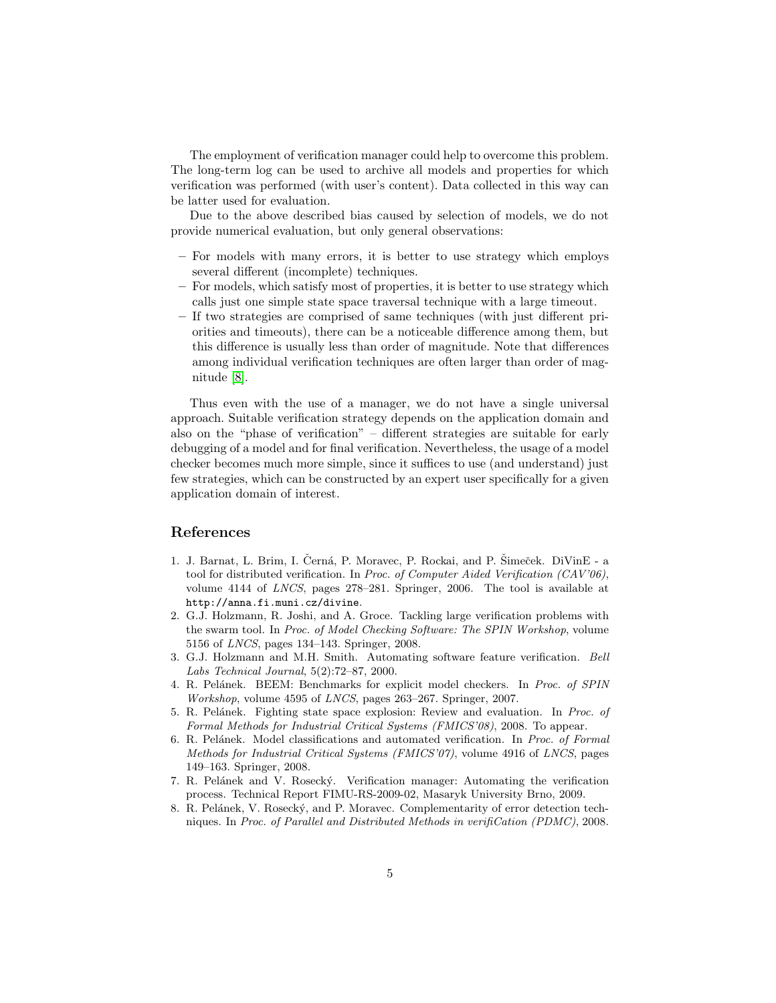The employment of verification manager could help to overcome this problem. The long-term log can be used to archive all models and properties for which verification was performed (with user's content). Data collected in this way can be latter used for evaluation.

Due to the above described bias caused by selection of models, we do not provide numerical evaluation, but only general observations:

- For models with many errors, it is better to use strategy which employs several different (incomplete) techniques.
- For models, which satisfy most of properties, it is better to use strategy which calls just one simple state space traversal technique with a large timeout.
- If two strategies are comprised of same techniques (with just different priorities and timeouts), there can be a noticeable difference among them, but this difference is usually less than order of magnitude. Note that differences among individual verification techniques are often larger than order of magnitude [\[8\]](#page-4-2).

Thus even with the use of a manager, we do not have a single universal approach. Suitable verification strategy depends on the application domain and also on the "phase of verification" – different strategies are suitable for early debugging of a model and for final verification. Nevertheless, the usage of a model checker becomes much more simple, since it suffices to use (and understand) just few strategies, which can be constructed by an expert user specifically for a given application domain of interest.

## References

- <span id="page-4-6"></span>1. J. Barnat, L. Brim, I. Cerná, P. Moravec, P. Rockai, and P. Simeček. DiVinE - a tool for distributed verification. In Proc. of Computer Aided Verification  $(CAV'06)$ , volume 4144 of LNCS, pages 278–281. Springer, 2006. The tool is available at http://anna.fi.muni.cz/divine.
- <span id="page-4-1"></span>2. G.J. Holzmann, R. Joshi, and A. Groce. Tackling large verification problems with the swarm tool. In Proc. of Model Checking Software: The SPIN Workshop, volume 5156 of LNCS, pages 134–143. Springer, 2008.
- <span id="page-4-4"></span>3. G.J. Holzmann and M.H. Smith. Automating software feature verification. Bell Labs Technical Journal, 5(2):72–87, 2000.
- <span id="page-4-7"></span>4. R. Pelánek. BEEM: Benchmarks for explicit model checkers. In Proc. of SPIN Workshop, volume 4595 of LNCS, pages 263–267. Springer, 2007.
- <span id="page-4-0"></span>5. R. Pelánek. Fighting state space explosion: Review and evaluation. In Proc. of Formal Methods for Industrial Critical Systems (FMICS'08), 2008. To appear.
- <span id="page-4-3"></span>6. R. Pelánek. Model classifications and automated verification. In Proc. of Formal Methods for Industrial Critical Systems (FMICS'07), volume 4916 of LNCS, pages 149–163. Springer, 2008.
- <span id="page-4-5"></span>7. R. Pelánek and V. Rosecký. Verification manager: Automating the verification process. Technical Report FIMU-RS-2009-02, Masaryk University Brno, 2009.
- <span id="page-4-2"></span>8. R. Pelánek, V. Rosecký, and P. Moravec. Complementarity of error detection techniques. In Proc. of Parallel and Distributed Methods in verifiCation (PDMC), 2008.